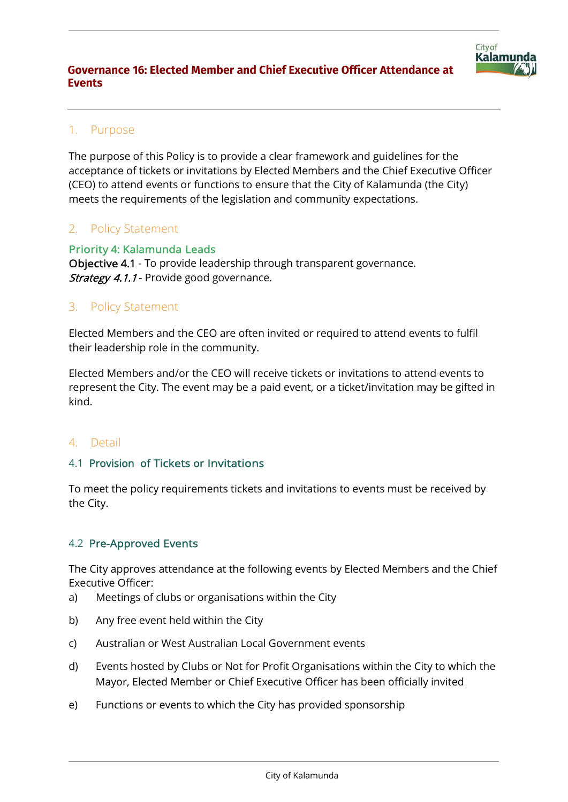

# 1. Purpose

The purpose of this Policy is to provide a clear framework and guidelines for the acceptance of tickets or invitations by Elected Members and the Chief Executive Officer (CEO) to attend events or functions to ensure that the City of Kalamunda (the City) meets the requirements of the legislation and community expectations.

## 2. Policy Statement

Priority 4: Kalamunda Leads Objective 4.1 - To provide leadership through transparent governance. Strategy 4.1.1 - Provide good governance.

## 3. Policy Statement

Elected Members and the CEO are often invited or required to attend events to fulfil their leadership role in the community.

Elected Members and/or the CEO will receive tickets or invitations to attend events to represent the City. The event may be a paid event, or a ticket/invitation may be gifted in kind.

## 4. Detail

### 4.1 Provision of Tickets or Invitations

To meet the policy requirements tickets and invitations to events must be received by the City.

## 4.2 Pre-Approved Events

The City approves attendance at the following events by Elected Members and the Chief Executive Officer:

- a) Meetings of clubs or organisations within the City
- b) Any free event held within the City
- c) Australian or West Australian Local Government events
- d) Events hosted by Clubs or Not for Profit Organisations within the City to which the Mayor, Elected Member or Chief Executive Officer has been officially invited
- e) Functions or events to which the City has provided sponsorship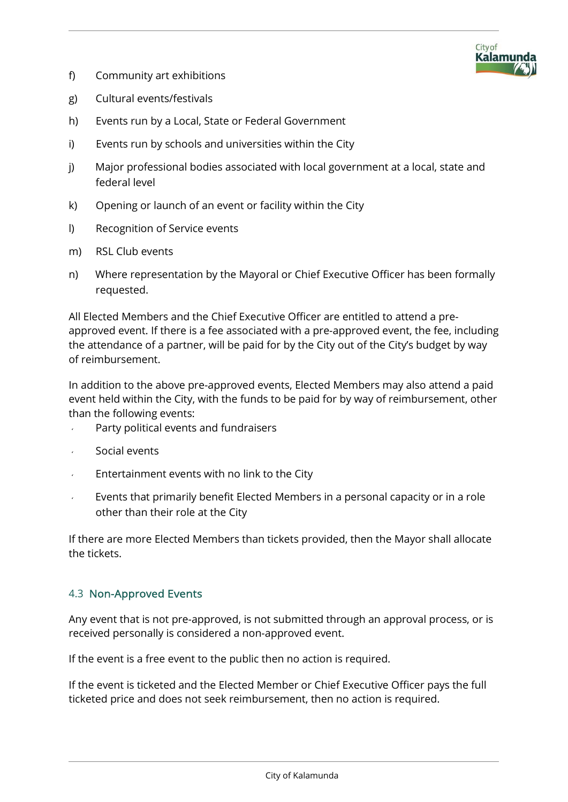

- f) Community art exhibitions
- g) Cultural events/festivals
- h) Events run by a Local, State or Federal Government
- i) Events run by schools and universities within the City
- j) Major professional bodies associated with local government at a local, state and federal level
- k) Opening or launch of an event or facility within the City
- l) Recognition of Service events
- m) RSL Club events
- n) Where representation by the Mayoral or Chief Executive Officer has been formally requested.

All Elected Members and the Chief Executive Officer are entitled to attend a preapproved event. If there is a fee associated with a pre-approved event, the fee, including the attendance of a partner, will be paid for by the City out of the City's budget by way of reimbursement.

In addition to the above pre-approved events, Elected Members may also attend a paid event held within the City, with the funds to be paid for by way of reimbursement, other than the following events:

- Party political events and fundraisers
- Social events
- Entertainment events with no link to the City
- Events that primarily benefit Elected Members in a personal capacity or in a role other than their role at the City

If there are more Elected Members than tickets provided, then the Mayor shall allocate the tickets.

### 4.3 Non-Approved Events

Any event that is not pre-approved, is not submitted through an approval process, or is received personally is considered a non-approved event.

If the event is a free event to the public then no action is required.

If the event is ticketed and the Elected Member or Chief Executive Officer pays the full ticketed price and does not seek reimbursement, then no action is required.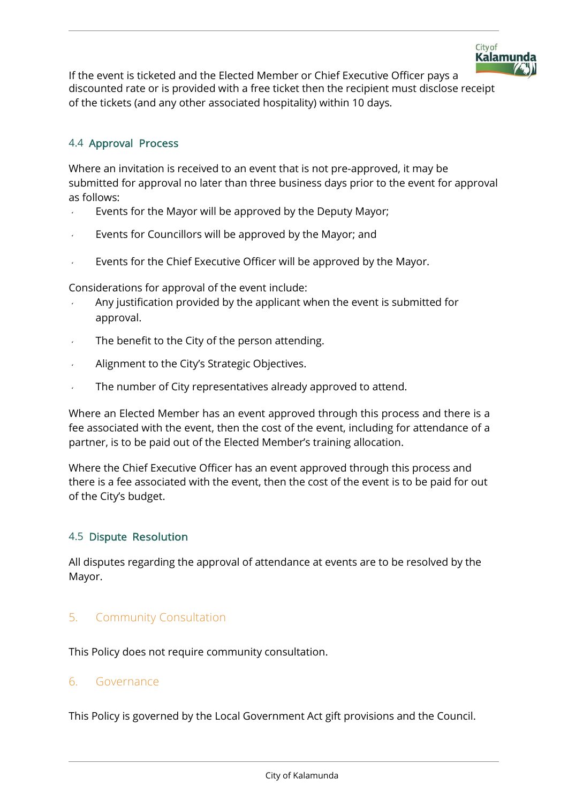

If the event is ticketed and the Elected Member or Chief Executive Officer pays a discounted rate or is provided with a free ticket then the recipient must disclose receipt of the tickets (and any other associated hospitality) within 10 days.

### 4.4 Approval Process

Where an invitation is received to an event that is not pre-approved, it may be submitted for approval no later than three business days prior to the event for approval as follows:

- Events for the Mayor will be approved by the Deputy Mayor;
- Events for Councillors will be approved by the Mayor; and
- Events for the Chief Executive Officer will be approved by the Mayor.

Considerations for approval of the event include:

- Any justification provided by the applicant when the event is submitted for approval.
- The benefit to the City of the person attending.
- Alignment to the City's Strategic Objectives.
- The number of City representatives already approved to attend.

Where an Elected Member has an event approved through this process and there is a fee associated with the event, then the cost of the event, including for attendance of a partner, is to be paid out of the Elected Member's training allocation.

Where the Chief Executive Officer has an event approved through this process and there is a fee associated with the event, then the cost of the event is to be paid for out of the City's budget.

#### 4.5 Dispute Resolution

All disputes regarding the approval of attendance at events are to be resolved by the Mayor.

## 5. Community Consultation

This Policy does not require community consultation.

#### 6. Governance

This Policy is governed by the Local Government Act gift provisions and the Council.